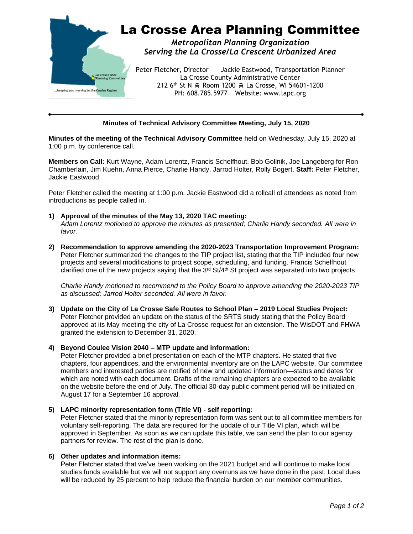

## **Minutes of Technical Advisory Committee Meeting, July 15, 2020**

**Minutes of the meeting of the Technical Advisory Committee** held on Wednesday, July 15, 2020 at 1:00 p.m. by conference call.

**Members on Call:** Kurt Wayne, Adam Lorentz, Francis Schelfhout, Bob Gollnik, Joe Langeberg for Ron Chamberlain, Jim Kuehn, Anna Pierce, Charlie Handy, Jarrod Holter, Rolly Bogert. **Staff:** Peter Fletcher, Jackie Eastwood.

Peter Fletcher called the meeting at 1:00 p.m. Jackie Eastwood did a rollcall of attendees as noted from introductions as people called in.

- **1) Approval of the minutes of the May 13, 2020 TAC meeting:** *Adam Lorentz motioned to approve the minutes as presented; Charlie Handy seconded. All were in favor.*
- **2) Recommendation to approve amending the 2020-2023 Transportation Improvement Program:** Peter Fletcher summarized the changes to the TIP project list, stating that the TIP included four new projects and several modifications to project scope, scheduling, and funding. Francis Schelfhout clarified one of the new projects saying that the 3<sup>rd</sup> St/4<sup>th</sup> St project was separated into two projects.

*Charlie Handy motioned to recommend to the Policy Board to approve amending the 2020-2023 TIP as discussed; Jarrod Holter seconded. All were in favor.*

**3) Update on the City of La Crosse Safe Routes to School Plan – 2019 Local Studies Project:** Peter Fletcher provided an update on the status of the SRTS study stating that the Policy Board approved at its May meeting the city of La Crosse request for an extension. The WisDOT and FHWA granted the extension to December 31, 2020.

#### **4) Beyond Coulee Vision 2040 – MTP update and information:**

Peter Fletcher provided a brief presentation on each of the MTP chapters. He stated that five chapters, four appendices, and the environmental inventory are on the LAPC website. Our committee members and interested parties are notified of new and updated information—status and dates for which are noted with each document. Drafts of the remaining chapters are expected to be available on the website before the end of July. The official 30-day public comment period will be initiated on August 17 for a September 16 approval.

### **5) LAPC minority representation form (Title VI) - self reporting:**

Peter Fletcher stated that the minority representation form was sent out to all committee members for voluntary self-reporting. The data are required for the update of our Title VI plan, which will be approved in September. As soon as we can update this table, we can send the plan to our agency partners for review. The rest of the plan is done.

#### **6) Other updates and information items:**

Peter Fletcher stated that we've been working on the 2021 budget and will continue to make local studies funds available but we will not support any overruns as we have done in the past. Local dues will be reduced by 25 percent to help reduce the financial burden on our member communities.